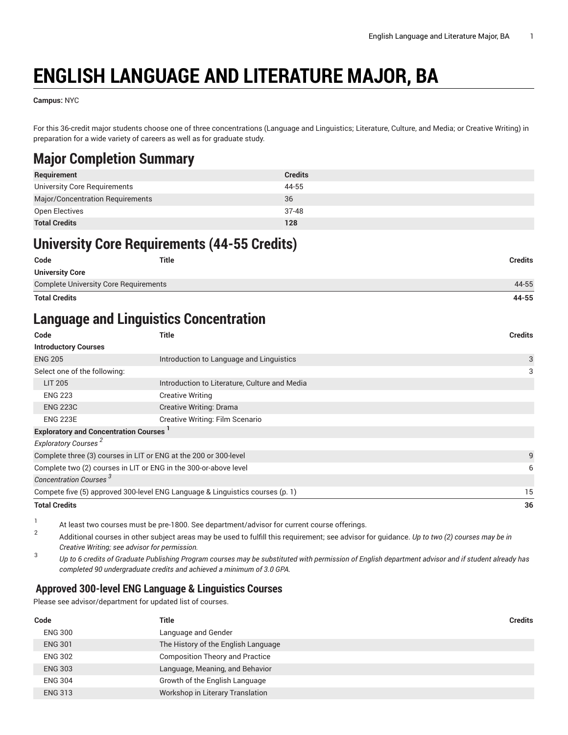# **ENGLISH LANGUAGE AND LITERATURE MAJOR, BA**

**Campus:** NYC

For this 36-credit major students choose one of three concentrations (Language and Linguistics; Literature, Culture, and Media; or Creative Writing) in preparation for a wide variety of careers as well as for graduate study.

### **Major Completion Summary**

| Requirement                      | <b>Credits</b> |
|----------------------------------|----------------|
| University Core Requirements     | 44-55          |
| Major/Concentration Requirements | 36             |
| Open Electives                   | 37-48          |
| <b>Total Credits</b>             | 128            |

## **University Core Requirements (44-55 Credits)**

| Code                                         | <b>Title</b> | <b>Credits</b> |
|----------------------------------------------|--------------|----------------|
| <b>University Core</b>                       |              |                |
| <b>Complete University Core Requirements</b> |              | 44-55          |
| <b>Total Credits</b>                         |              | 44-55          |

### **Language and Linguistics Concentration**

| <b>Title</b>                                                                  | <b>Credits</b> |
|-------------------------------------------------------------------------------|----------------|
|                                                                               |                |
| Introduction to Language and Linguistics                                      | 3              |
|                                                                               | 3              |
| Introduction to Literature, Culture and Media                                 |                |
| <b>Creative Writing</b>                                                       |                |
| Creative Writing: Drama                                                       |                |
| Creative Writing: Film Scenario                                               |                |
| <b>Exploratory and Concentration Courses</b>                                  |                |
|                                                                               |                |
| Complete three (3) courses in LIT or ENG at the 200 or 300-level              | 9              |
| Complete two (2) courses in LIT or ENG in the 300-or-above level              | 6              |
|                                                                               |                |
| Compete five (5) approved 300-level ENG Language & Linguistics courses (p. 1) | 15             |
|                                                                               | 36             |
|                                                                               |                |

1 At least two courses must be pre-1800. See department/advisor for current course offerings.

2 Additional courses in other subject areas may be used to fulfill this requirement; see advisor for guidance. *Up to two (2) courses may be in Creative Writing; see advisor for permission.*

3 Up to 6 credits of Graduate Publishing Program courses may be substituted with permission of English department advisor and if student already has *completed 90 undergraduate credits and achieved a minimum of 3.0 GPA.*

### <span id="page-0-0"></span>**Approved 300-level ENG Language & Linguistics Courses**

Please see advisor/department for updated list of courses.

| Code           | <b>Title</b>                           | <b>Credits</b> |
|----------------|----------------------------------------|----------------|
| <b>ENG 300</b> | Language and Gender                    |                |
| <b>ENG 301</b> | The History of the English Language    |                |
| <b>ENG 302</b> | <b>Composition Theory and Practice</b> |                |
| <b>ENG 303</b> | Language, Meaning, and Behavior        |                |
| <b>ENG 304</b> | Growth of the English Language         |                |
| <b>ENG 313</b> | Workshop in Literary Translation       |                |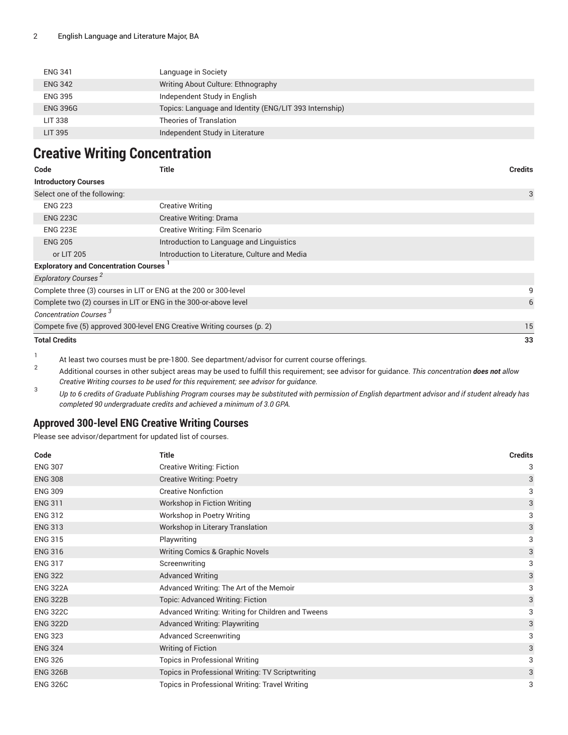| <b>ENG 341</b>  | Language in Society                                    |
|-----------------|--------------------------------------------------------|
| <b>ENG 342</b>  | Writing About Culture: Ethnography                     |
| <b>ENG 395</b>  | Independent Study in English                           |
| <b>ENG 396G</b> | Topics: Language and Identity (ENG/LIT 393 Internship) |
| LIT 338         | Theories of Translation                                |
| LIT 395         | Independent Study in Literature                        |

### **Creative Writing Concentration**

| Code                                         | <b>Title</b>                                                            | <b>Credits</b> |
|----------------------------------------------|-------------------------------------------------------------------------|----------------|
| <b>Introductory Courses</b>                  |                                                                         |                |
| Select one of the following:                 |                                                                         | 3              |
| <b>ENG 223</b>                               | <b>Creative Writing</b>                                                 |                |
| <b>ENG 223C</b>                              | <b>Creative Writing: Drama</b>                                          |                |
| <b>ENG 223E</b>                              | Creative Writing: Film Scenario                                         |                |
| <b>ENG 205</b>                               | Introduction to Language and Linguistics                                |                |
| or LIT 205                                   | Introduction to Literature, Culture and Media                           |                |
| <b>Exploratory and Concentration Courses</b> |                                                                         |                |
| Exploratory Courses <sup>2</sup>             |                                                                         |                |
|                                              | Complete three (3) courses in LIT or ENG at the 200 or 300-level        | 9              |
|                                              | Complete two (2) courses in LIT or ENG in the 300-or-above level        | 6              |
| Concentration Courses <sup>3</sup>           |                                                                         |                |
|                                              | Compete five (5) approved 300-level ENG Creative Writing courses (p. 2) | 15             |
| <b>Total Credits</b>                         |                                                                         | 33             |
|                                              |                                                                         |                |

1 At least two courses must be pre-1800. See department/advisor for current course offerings.

2 Additional courses in other subject areas may be used to fulfill this requirement; see advisor for guidance. *This concentration does not allow Creative Writing courses to be used for this requirement; see advisor for guidance.*

3 Up to 6 credits of Graduate Publishing Program courses may be substituted with permission of English department advisor and if student already has *completed 90 undergraduate credits and achieved a minimum of 3.0 GPA.*

#### <span id="page-1-0"></span>**Approved 300-level ENG Creative Writing Courses**

Please see advisor/department for updated list of courses.

| Code            | <b>Title</b>                                      | <b>Credits</b> |
|-----------------|---------------------------------------------------|----------------|
| <b>ENG 307</b>  | <b>Creative Writing: Fiction</b>                  | 3              |
| <b>ENG 308</b>  | <b>Creative Writing: Poetry</b>                   | 3              |
| <b>ENG 309</b>  | <b>Creative Nonfiction</b>                        | 3              |
| <b>ENG 311</b>  | Workshop in Fiction Writing                       | 3              |
| <b>ENG 312</b>  | Workshop in Poetry Writing                        | 3              |
| <b>ENG 313</b>  | Workshop in Literary Translation                  | 3              |
| <b>ENG 315</b>  | Playwriting                                       | 3              |
| <b>ENG 316</b>  | <b>Writing Comics &amp; Graphic Novels</b>        | 3              |
| <b>ENG 317</b>  | Screenwriting                                     | 3              |
| <b>ENG 322</b>  | <b>Advanced Writing</b>                           | 3              |
| <b>ENG 322A</b> | Advanced Writing: The Art of the Memoir           | 3              |
| <b>ENG 322B</b> | <b>Topic: Advanced Writing: Fiction</b>           | 3              |
| <b>ENG 322C</b> | Advanced Writing: Writing for Children and Tweens | 3              |
| <b>ENG 322D</b> | <b>Advanced Writing: Playwriting</b>              | 3              |
| <b>ENG 323</b>  | <b>Advanced Screenwriting</b>                     | 3              |
| <b>ENG 324</b>  | <b>Writing of Fiction</b>                         | 3              |
| <b>ENG 326</b>  | <b>Topics in Professional Writing</b>             | 3              |
| <b>ENG 326B</b> | Topics in Professional Writing: TV Scriptwriting  | 3              |
| <b>ENG 326C</b> | Topics in Professional Writing: Travel Writing    | 3              |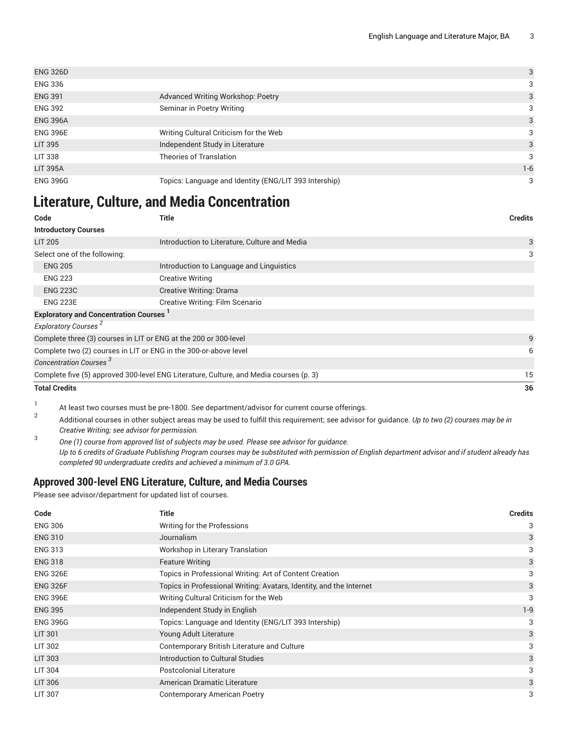| <b>ENG 326D</b> |                                                       | 3       |
|-----------------|-------------------------------------------------------|---------|
| <b>ENG 336</b>  |                                                       | 3       |
| <b>ENG 391</b>  | Advanced Writing Workshop: Poetry                     | 3       |
| <b>ENG 392</b>  | Seminar in Poetry Writing                             | 3       |
| <b>ENG 396A</b> |                                                       | 3       |
| <b>ENG 396E</b> | Writing Cultural Criticism for the Web                | 3       |
| <b>LIT 395</b>  | Independent Study in Literature                       | 3       |
| <b>LIT 338</b>  | <b>Theories of Translation</b>                        | 3       |
| <b>LIT 395A</b> |                                                       | $1 - 6$ |
| <b>ENG 396G</b> | Topics: Language and Identity (ENG/LIT 393 Intership) | 3       |

### **Literature, Culture, and Media Concentration**

| Code                                                             | <b>Title</b>                                                                           | <b>Credits</b> |
|------------------------------------------------------------------|----------------------------------------------------------------------------------------|----------------|
| <b>Introductory Courses</b>                                      |                                                                                        |                |
| <b>LIT 205</b>                                                   | Introduction to Literature, Culture and Media                                          | 3              |
| Select one of the following:                                     |                                                                                        | 3              |
| <b>ENG 205</b>                                                   | Introduction to Language and Linguistics                                               |                |
| <b>ENG 223</b>                                                   | <b>Creative Writing</b>                                                                |                |
| <b>ENG 223C</b>                                                  | <b>Creative Writing: Drama</b>                                                         |                |
| <b>ENG 223E</b>                                                  | Creative Writing: Film Scenario                                                        |                |
| <b>Exploratory and Concentration Courses</b> <sup>1</sup>        |                                                                                        |                |
| Exploratory Courses <sup>2</sup>                                 |                                                                                        |                |
| Complete three (3) courses in LIT or ENG at the 200 or 300-level |                                                                                        | 9              |
| Complete two (2) courses in LIT or ENG in the 300-or-above level |                                                                                        | 6              |
| Concentration Courses <sup>3</sup>                               |                                                                                        |                |
|                                                                  | Complete five (5) approved 300-level ENG Literature, Culture, and Media courses (p. 3) | 15             |
| <b>Total Credits</b>                                             |                                                                                        | 36             |

1 At least two courses must be pre-1800. See department/advisor for current course offerings.

2 Additional courses in other subject areas may be used to fulfill this requirement; see advisor for guidance. *Up to two (2) courses may be in Creative Writing; see advisor for permission.*

3 *One (1) course from approved list of subjects may be used. Please see advisor for guidance.* Up to 6 credits of Graduate Publishing Program courses may be substituted with permission of English department advisor and if student already has *completed 90 undergraduate credits and achieved a minimum of 3.0 GPA.*

### <span id="page-2-0"></span>**Approved 300-level ENG Literature, Culture, and Media Courses**

Please see advisor/department for updated list of courses.

| Code            | Title                                                               | <b>Credits</b> |
|-----------------|---------------------------------------------------------------------|----------------|
| <b>ENG 306</b>  | Writing for the Professions                                         | 3              |
| <b>ENG 310</b>  | Journalism                                                          | 3              |
| <b>ENG 313</b>  | Workshop in Literary Translation                                    | 3              |
| <b>ENG 318</b>  | <b>Feature Writing</b>                                              | 3              |
| <b>ENG 326E</b> | Topics in Professional Writing: Art of Content Creation             | 3              |
| <b>ENG 326F</b> | Topics in Professional Writing: Avatars, Identity, and the Internet | 3              |
| <b>ENG 396E</b> | Writing Cultural Criticism for the Web                              | 3              |
| <b>ENG 395</b>  | Independent Study in English                                        | $1 - 9$        |
| <b>ENG 396G</b> | Topics: Language and Identity (ENG/LIT 393 Intership)               | 3              |
| <b>LIT 301</b>  | Young Adult Literature                                              | 3              |
| LIT 302         | Contemporary British Literature and Culture                         | 3              |
| <b>LIT 303</b>  | Introduction to Cultural Studies                                    | 3              |
| LIT 304         | <b>Postcolonial Literature</b>                                      | 3              |
| <b>LIT 306</b>  | American Dramatic Literature                                        | 3              |
| <b>LIT 307</b>  | <b>Contemporary American Poetry</b>                                 | 3              |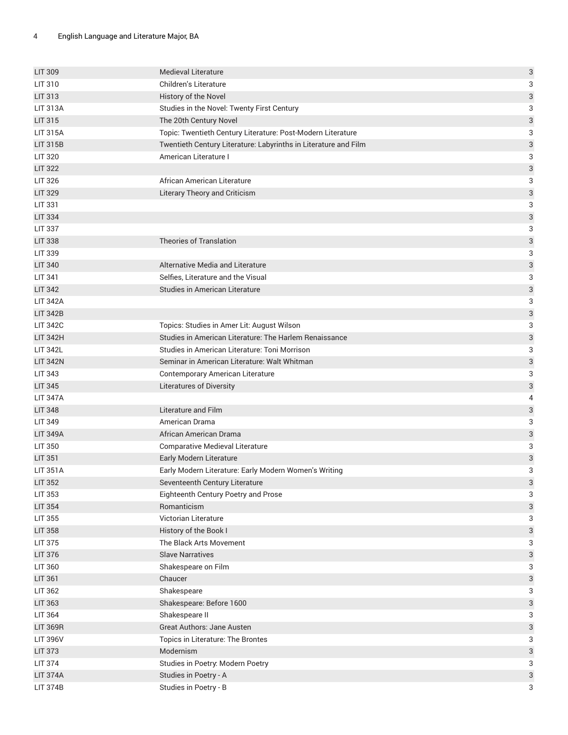| <b>LIT 309</b>  | <b>Medieval Literature</b>                                      | 3                         |
|-----------------|-----------------------------------------------------------------|---------------------------|
| LIT 310         | Children's Literature                                           | 3                         |
| LIT 313         | History of the Novel                                            | 3                         |
| <b>LIT 313A</b> | Studies in the Novel: Twenty First Century                      | 3                         |
| LIT 315         | The 20th Century Novel                                          | 3                         |
| <b>LIT 315A</b> | Topic: Twentieth Century Literature: Post-Modern Literature     | 3                         |
| <b>LIT 315B</b> | Twentieth Century Literature: Labyrinths in Literature and Film | 3                         |
| <b>LIT 320</b>  | American Literature I                                           | 3                         |
| <b>LIT 322</b>  |                                                                 | 3                         |
| <b>LIT 326</b>  | African American Literature                                     | 3                         |
| <b>LIT 329</b>  | <b>Literary Theory and Criticism</b>                            | 3                         |
| LIT 331         |                                                                 | 3                         |
| <b>LIT 334</b>  |                                                                 | 3                         |
| <b>LIT 337</b>  |                                                                 | 3                         |
| <b>LIT 338</b>  | <b>Theories of Translation</b>                                  | 3                         |
| LIT 339         |                                                                 | 3                         |
| <b>LIT 340</b>  | Alternative Media and Literature                                | 3                         |
| <b>LIT 341</b>  | Selfies, Literature and the Visual                              | 3                         |
| <b>LIT 342</b>  | <b>Studies in American Literature</b>                           | 3                         |
| <b>LIT 342A</b> |                                                                 | 3                         |
| <b>LIT 342B</b> |                                                                 | 3                         |
| <b>LIT 342C</b> | Topics: Studies in Amer Lit: August Wilson                      | 3                         |
| <b>LIT 342H</b> | Studies in American Literature: The Harlem Renaissance          | 3                         |
| <b>LIT 342L</b> | Studies in American Literature: Toni Morrison                   | 3                         |
| <b>LIT 342N</b> | Seminar in American Literature: Walt Whitman                    | 3                         |
| LIT 343         | Contemporary American Literature                                | 3                         |
| <b>LIT 345</b>  | <b>Literatures of Diversity</b>                                 | 3                         |
| <b>LIT 347A</b> |                                                                 | $\pmb{4}$                 |
| <b>LIT 348</b>  | Literature and Film                                             | 3                         |
| <b>LIT 349</b>  | American Drama                                                  | 3                         |
| <b>LIT 349A</b> | African American Drama                                          | $\ensuremath{\mathsf{3}}$ |
| LIT 350         | Comparative Medieval Literature                                 | 3                         |
| <b>LIT 351</b>  | Early Modern Literature                                         | 3                         |
| <b>LIT 351A</b> | Early Modern Literature: Early Modern Women's Writing           | 3                         |
| LIT 352         | Seventeenth Century Literature                                  | 3                         |
| LIT 353         | Eighteenth Century Poetry and Prose                             | 3                         |
| <b>LIT 354</b>  | Romanticism                                                     | $\ensuremath{\mathsf{3}}$ |
| LIT 355         | Victorian Literature                                            | 3                         |
| <b>LIT 358</b>  | History of the Book I                                           | $\ensuremath{\mathsf{3}}$ |
| LIT 375         | The Black Arts Movement                                         | 3                         |
| LIT 376         | <b>Slave Narratives</b>                                         | $\ensuremath{\mathsf{3}}$ |
| LIT 360         | Shakespeare on Film                                             | 3                         |
| <b>LIT 361</b>  | Chaucer                                                         | $\ensuremath{\mathsf{3}}$ |
| LIT 362         | Shakespeare                                                     | 3                         |
| LIT 363         | Shakespeare: Before 1600                                        | $\ensuremath{\mathsf{3}}$ |
| LIT 364         | Shakespeare II                                                  | 3                         |
| <b>LIT 369R</b> | Great Authors: Jane Austen                                      | 3                         |
| <b>LIT 396V</b> | Topics in Literature: The Brontes                               | 3                         |
| <b>LIT 373</b>  | Modernism                                                       | 3                         |
| LIT 374         | Studies in Poetry: Modern Poetry                                | 3                         |
| <b>LIT 374A</b> | Studies in Poetry - A                                           | 3                         |
| <b>LIT 374B</b> | Studies in Poetry - B                                           | 3                         |
|                 |                                                                 |                           |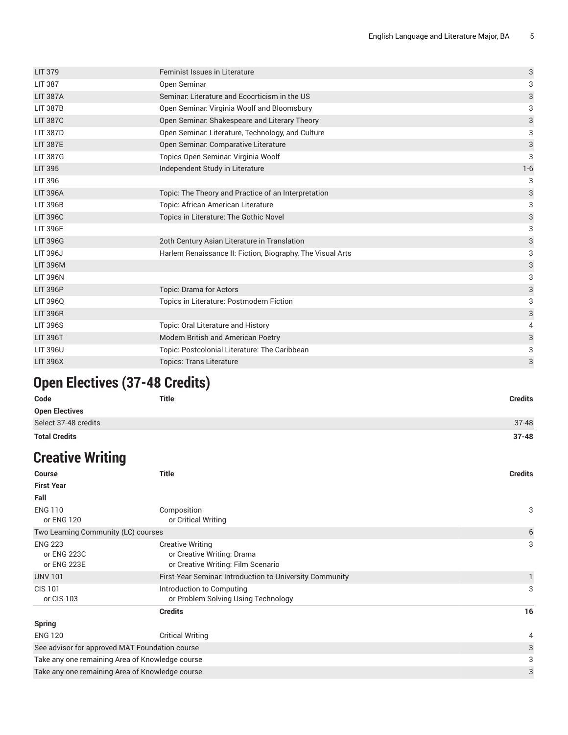| <b>LIT 379</b>  | <b>Feminist Issues in Literature</b>                       | 3     |
|-----------------|------------------------------------------------------------|-------|
| <b>LIT 387</b>  | Open Seminar                                               | 3     |
| <b>LIT 387A</b> | Seminar. Literature and Ecocrticism in the US              | 3     |
| <b>LIT 387B</b> | Open Seminar: Virginia Woolf and Bloomsbury                | 3     |
| <b>LIT 387C</b> | Open Seminar. Shakespeare and Literary Theory              | 3     |
| <b>LIT 387D</b> | Open Seminar: Literature, Technology, and Culture          | 3     |
| <b>LIT 387E</b> | Open Seminar. Comparative Literature                       | 3     |
| <b>LIT 387G</b> | Topics Open Seminar: Virginia Woolf                        | 3     |
| <b>LIT 395</b>  | Independent Study in Literature                            | $1-6$ |
| <b>LIT 396</b>  |                                                            | 3     |
| <b>LIT 396A</b> | Topic: The Theory and Practice of an Interpretation        | 3     |
| <b>LIT 396B</b> | Topic: African-American Literature                         | 3     |
| <b>LIT 396C</b> | Topics in Literature: The Gothic Novel                     | 3     |
| <b>LIT 396E</b> |                                                            | 3     |
| <b>LIT 396G</b> | 2oth Century Asian Literature in Translation               | 3     |
| <b>LIT 396J</b> | Harlem Renaissance II: Fiction, Biography, The Visual Arts | 3     |
| <b>LIT 396M</b> |                                                            | 3     |
| <b>LIT 396N</b> |                                                            | 3     |
| <b>LIT 396P</b> | Topic: Drama for Actors                                    | 3     |
| LIT 396Q        | Topics in Literature: Postmodern Fiction                   | 3     |
| <b>LIT 396R</b> |                                                            | 3     |
| <b>LIT 396S</b> | Topic: Oral Literature and History                         | 4     |
| <b>LIT 396T</b> | Modern British and American Poetry                         | 3     |
| <b>LIT 396U</b> | Topic: Postcolonial Literature: The Caribbean              | 3     |
| <b>LIT 396X</b> | <b>Topics: Trans Literature</b>                            | 3     |
|                 |                                                            |       |

# **Open Electives (37-48 Credits)**

| Code                  | <b>Title</b> | <b>Credits</b> |
|-----------------------|--------------|----------------|
| <b>Open Electives</b> |              |                |
| Select 37-48 credits  |              | $37 - 48$      |
| <b>Total Credits</b>  |              | $37 - 48$      |

# **Creative Writing**

| <b>Credits</b> |
|----------------|
|                |
|                |
| 3              |
| 6              |
| 3              |
| 1.             |
| 3              |
| 16             |
|                |
| 4              |
| 3              |
| 3              |
| 3              |
|                |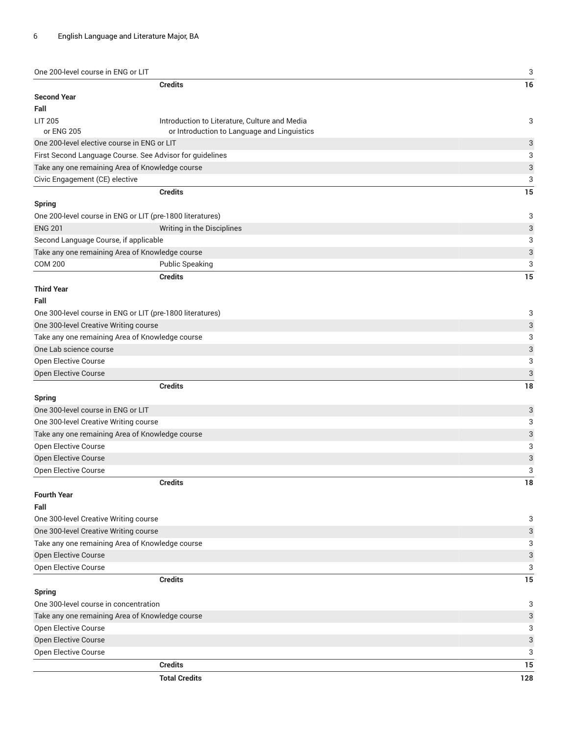| <b>Credits</b><br><b>Second Year</b><br>Fall<br><b>LIT 205</b><br>Introduction to Literature, Culture and Media<br>3<br>or ENG 205<br>or Introduction to Language and Linguistics<br>One 200-level elective course in ENG or LIT<br>3<br>First Second Language Course. See Advisor for guidelines<br>3<br>3<br>Take any one remaining Area of Knowledge course<br>Civic Engagement (CE) elective<br>3<br><b>Credits</b><br>15<br><b>Spring</b><br>3<br>One 200-level course in ENG or LIT (pre-1800 literatures)<br>3<br><b>ENG 201</b><br>Writing in the Disciplines<br>Second Language Course, if applicable<br>3<br>3<br>Take any one remaining Area of Knowledge course<br><b>COM 200</b><br><b>Public Speaking</b><br>3<br><b>Credits</b><br>15<br><b>Third Year</b><br>Fall<br>One 300-level course in ENG or LIT (pre-1800 literatures)<br>3<br>One 300-level Creative Writing course<br>3<br>Take any one remaining Area of Knowledge course<br>3<br>3<br>One Lab science course<br>Open Elective Course<br>3<br>3<br>Open Elective Course<br><b>Credits</b><br>18<br><b>Spring</b><br>One 300-level course in ENG or LIT<br>3<br>3<br>One 300-level Creative Writing course<br>Take any one remaining Area of Knowledge course<br>3<br>Open Elective Course<br>3<br>Open Elective Course<br>3<br>Open Elective Course<br>3<br><b>Credits</b><br>18<br><b>Fourth Year</b><br>Fall<br>One 300-level Creative Writing course<br>3<br>One 300-level Creative Writing course<br>3<br>Take any one remaining Area of Knowledge course<br>3<br>Open Elective Course<br>3<br>Open Elective Course<br>3<br><b>Credits</b><br>15<br><b>Spring</b><br>One 300-level course in concentration<br>3<br>Take any one remaining Area of Knowledge course<br>3<br>3<br>Open Elective Course<br>3<br>Open Elective Course<br>Open Elective Course<br>3<br><b>Credits</b><br>15<br><b>Total Credits</b><br>128 | One 200-level course in ENG or LIT | 3  |
|------------------------------------------------------------------------------------------------------------------------------------------------------------------------------------------------------------------------------------------------------------------------------------------------------------------------------------------------------------------------------------------------------------------------------------------------------------------------------------------------------------------------------------------------------------------------------------------------------------------------------------------------------------------------------------------------------------------------------------------------------------------------------------------------------------------------------------------------------------------------------------------------------------------------------------------------------------------------------------------------------------------------------------------------------------------------------------------------------------------------------------------------------------------------------------------------------------------------------------------------------------------------------------------------------------------------------------------------------------------------------------------------------------------------------------------------------------------------------------------------------------------------------------------------------------------------------------------------------------------------------------------------------------------------------------------------------------------------------------------------------------------------------------------------------------------------------------------------------------------------------------------------------|------------------------------------|----|
|                                                                                                                                                                                                                                                                                                                                                                                                                                                                                                                                                                                                                                                                                                                                                                                                                                                                                                                                                                                                                                                                                                                                                                                                                                                                                                                                                                                                                                                                                                                                                                                                                                                                                                                                                                                                                                                                                                      |                                    | 16 |
|                                                                                                                                                                                                                                                                                                                                                                                                                                                                                                                                                                                                                                                                                                                                                                                                                                                                                                                                                                                                                                                                                                                                                                                                                                                                                                                                                                                                                                                                                                                                                                                                                                                                                                                                                                                                                                                                                                      |                                    |    |
|                                                                                                                                                                                                                                                                                                                                                                                                                                                                                                                                                                                                                                                                                                                                                                                                                                                                                                                                                                                                                                                                                                                                                                                                                                                                                                                                                                                                                                                                                                                                                                                                                                                                                                                                                                                                                                                                                                      |                                    |    |
|                                                                                                                                                                                                                                                                                                                                                                                                                                                                                                                                                                                                                                                                                                                                                                                                                                                                                                                                                                                                                                                                                                                                                                                                                                                                                                                                                                                                                                                                                                                                                                                                                                                                                                                                                                                                                                                                                                      |                                    |    |
|                                                                                                                                                                                                                                                                                                                                                                                                                                                                                                                                                                                                                                                                                                                                                                                                                                                                                                                                                                                                                                                                                                                                                                                                                                                                                                                                                                                                                                                                                                                                                                                                                                                                                                                                                                                                                                                                                                      |                                    |    |
|                                                                                                                                                                                                                                                                                                                                                                                                                                                                                                                                                                                                                                                                                                                                                                                                                                                                                                                                                                                                                                                                                                                                                                                                                                                                                                                                                                                                                                                                                                                                                                                                                                                                                                                                                                                                                                                                                                      |                                    |    |
|                                                                                                                                                                                                                                                                                                                                                                                                                                                                                                                                                                                                                                                                                                                                                                                                                                                                                                                                                                                                                                                                                                                                                                                                                                                                                                                                                                                                                                                                                                                                                                                                                                                                                                                                                                                                                                                                                                      |                                    |    |
|                                                                                                                                                                                                                                                                                                                                                                                                                                                                                                                                                                                                                                                                                                                                                                                                                                                                                                                                                                                                                                                                                                                                                                                                                                                                                                                                                                                                                                                                                                                                                                                                                                                                                                                                                                                                                                                                                                      |                                    |    |
|                                                                                                                                                                                                                                                                                                                                                                                                                                                                                                                                                                                                                                                                                                                                                                                                                                                                                                                                                                                                                                                                                                                                                                                                                                                                                                                                                                                                                                                                                                                                                                                                                                                                                                                                                                                                                                                                                                      |                                    |    |
|                                                                                                                                                                                                                                                                                                                                                                                                                                                                                                                                                                                                                                                                                                                                                                                                                                                                                                                                                                                                                                                                                                                                                                                                                                                                                                                                                                                                                                                                                                                                                                                                                                                                                                                                                                                                                                                                                                      |                                    |    |
|                                                                                                                                                                                                                                                                                                                                                                                                                                                                                                                                                                                                                                                                                                                                                                                                                                                                                                                                                                                                                                                                                                                                                                                                                                                                                                                                                                                                                                                                                                                                                                                                                                                                                                                                                                                                                                                                                                      |                                    |    |
|                                                                                                                                                                                                                                                                                                                                                                                                                                                                                                                                                                                                                                                                                                                                                                                                                                                                                                                                                                                                                                                                                                                                                                                                                                                                                                                                                                                                                                                                                                                                                                                                                                                                                                                                                                                                                                                                                                      |                                    |    |
|                                                                                                                                                                                                                                                                                                                                                                                                                                                                                                                                                                                                                                                                                                                                                                                                                                                                                                                                                                                                                                                                                                                                                                                                                                                                                                                                                                                                                                                                                                                                                                                                                                                                                                                                                                                                                                                                                                      |                                    |    |
|                                                                                                                                                                                                                                                                                                                                                                                                                                                                                                                                                                                                                                                                                                                                                                                                                                                                                                                                                                                                                                                                                                                                                                                                                                                                                                                                                                                                                                                                                                                                                                                                                                                                                                                                                                                                                                                                                                      |                                    |    |
|                                                                                                                                                                                                                                                                                                                                                                                                                                                                                                                                                                                                                                                                                                                                                                                                                                                                                                                                                                                                                                                                                                                                                                                                                                                                                                                                                                                                                                                                                                                                                                                                                                                                                                                                                                                                                                                                                                      |                                    |    |
|                                                                                                                                                                                                                                                                                                                                                                                                                                                                                                                                                                                                                                                                                                                                                                                                                                                                                                                                                                                                                                                                                                                                                                                                                                                                                                                                                                                                                                                                                                                                                                                                                                                                                                                                                                                                                                                                                                      |                                    |    |
|                                                                                                                                                                                                                                                                                                                                                                                                                                                                                                                                                                                                                                                                                                                                                                                                                                                                                                                                                                                                                                                                                                                                                                                                                                                                                                                                                                                                                                                                                                                                                                                                                                                                                                                                                                                                                                                                                                      |                                    |    |
|                                                                                                                                                                                                                                                                                                                                                                                                                                                                                                                                                                                                                                                                                                                                                                                                                                                                                                                                                                                                                                                                                                                                                                                                                                                                                                                                                                                                                                                                                                                                                                                                                                                                                                                                                                                                                                                                                                      |                                    |    |
|                                                                                                                                                                                                                                                                                                                                                                                                                                                                                                                                                                                                                                                                                                                                                                                                                                                                                                                                                                                                                                                                                                                                                                                                                                                                                                                                                                                                                                                                                                                                                                                                                                                                                                                                                                                                                                                                                                      |                                    |    |
|                                                                                                                                                                                                                                                                                                                                                                                                                                                                                                                                                                                                                                                                                                                                                                                                                                                                                                                                                                                                                                                                                                                                                                                                                                                                                                                                                                                                                                                                                                                                                                                                                                                                                                                                                                                                                                                                                                      |                                    |    |
|                                                                                                                                                                                                                                                                                                                                                                                                                                                                                                                                                                                                                                                                                                                                                                                                                                                                                                                                                                                                                                                                                                                                                                                                                                                                                                                                                                                                                                                                                                                                                                                                                                                                                                                                                                                                                                                                                                      |                                    |    |
|                                                                                                                                                                                                                                                                                                                                                                                                                                                                                                                                                                                                                                                                                                                                                                                                                                                                                                                                                                                                                                                                                                                                                                                                                                                                                                                                                                                                                                                                                                                                                                                                                                                                                                                                                                                                                                                                                                      |                                    |    |
|                                                                                                                                                                                                                                                                                                                                                                                                                                                                                                                                                                                                                                                                                                                                                                                                                                                                                                                                                                                                                                                                                                                                                                                                                                                                                                                                                                                                                                                                                                                                                                                                                                                                                                                                                                                                                                                                                                      |                                    |    |
|                                                                                                                                                                                                                                                                                                                                                                                                                                                                                                                                                                                                                                                                                                                                                                                                                                                                                                                                                                                                                                                                                                                                                                                                                                                                                                                                                                                                                                                                                                                                                                                                                                                                                                                                                                                                                                                                                                      |                                    |    |
|                                                                                                                                                                                                                                                                                                                                                                                                                                                                                                                                                                                                                                                                                                                                                                                                                                                                                                                                                                                                                                                                                                                                                                                                                                                                                                                                                                                                                                                                                                                                                                                                                                                                                                                                                                                                                                                                                                      |                                    |    |
|                                                                                                                                                                                                                                                                                                                                                                                                                                                                                                                                                                                                                                                                                                                                                                                                                                                                                                                                                                                                                                                                                                                                                                                                                                                                                                                                                                                                                                                                                                                                                                                                                                                                                                                                                                                                                                                                                                      |                                    |    |
|                                                                                                                                                                                                                                                                                                                                                                                                                                                                                                                                                                                                                                                                                                                                                                                                                                                                                                                                                                                                                                                                                                                                                                                                                                                                                                                                                                                                                                                                                                                                                                                                                                                                                                                                                                                                                                                                                                      |                                    |    |
|                                                                                                                                                                                                                                                                                                                                                                                                                                                                                                                                                                                                                                                                                                                                                                                                                                                                                                                                                                                                                                                                                                                                                                                                                                                                                                                                                                                                                                                                                                                                                                                                                                                                                                                                                                                                                                                                                                      |                                    |    |
|                                                                                                                                                                                                                                                                                                                                                                                                                                                                                                                                                                                                                                                                                                                                                                                                                                                                                                                                                                                                                                                                                                                                                                                                                                                                                                                                                                                                                                                                                                                                                                                                                                                                                                                                                                                                                                                                                                      |                                    |    |
|                                                                                                                                                                                                                                                                                                                                                                                                                                                                                                                                                                                                                                                                                                                                                                                                                                                                                                                                                                                                                                                                                                                                                                                                                                                                                                                                                                                                                                                                                                                                                                                                                                                                                                                                                                                                                                                                                                      |                                    |    |
|                                                                                                                                                                                                                                                                                                                                                                                                                                                                                                                                                                                                                                                                                                                                                                                                                                                                                                                                                                                                                                                                                                                                                                                                                                                                                                                                                                                                                                                                                                                                                                                                                                                                                                                                                                                                                                                                                                      |                                    |    |
|                                                                                                                                                                                                                                                                                                                                                                                                                                                                                                                                                                                                                                                                                                                                                                                                                                                                                                                                                                                                                                                                                                                                                                                                                                                                                                                                                                                                                                                                                                                                                                                                                                                                                                                                                                                                                                                                                                      |                                    |    |
|                                                                                                                                                                                                                                                                                                                                                                                                                                                                                                                                                                                                                                                                                                                                                                                                                                                                                                                                                                                                                                                                                                                                                                                                                                                                                                                                                                                                                                                                                                                                                                                                                                                                                                                                                                                                                                                                                                      |                                    |    |
|                                                                                                                                                                                                                                                                                                                                                                                                                                                                                                                                                                                                                                                                                                                                                                                                                                                                                                                                                                                                                                                                                                                                                                                                                                                                                                                                                                                                                                                                                                                                                                                                                                                                                                                                                                                                                                                                                                      |                                    |    |
|                                                                                                                                                                                                                                                                                                                                                                                                                                                                                                                                                                                                                                                                                                                                                                                                                                                                                                                                                                                                                                                                                                                                                                                                                                                                                                                                                                                                                                                                                                                                                                                                                                                                                                                                                                                                                                                                                                      |                                    |    |
|                                                                                                                                                                                                                                                                                                                                                                                                                                                                                                                                                                                                                                                                                                                                                                                                                                                                                                                                                                                                                                                                                                                                                                                                                                                                                                                                                                                                                                                                                                                                                                                                                                                                                                                                                                                                                                                                                                      |                                    |    |
|                                                                                                                                                                                                                                                                                                                                                                                                                                                                                                                                                                                                                                                                                                                                                                                                                                                                                                                                                                                                                                                                                                                                                                                                                                                                                                                                                                                                                                                                                                                                                                                                                                                                                                                                                                                                                                                                                                      |                                    |    |
|                                                                                                                                                                                                                                                                                                                                                                                                                                                                                                                                                                                                                                                                                                                                                                                                                                                                                                                                                                                                                                                                                                                                                                                                                                                                                                                                                                                                                                                                                                                                                                                                                                                                                                                                                                                                                                                                                                      |                                    |    |
|                                                                                                                                                                                                                                                                                                                                                                                                                                                                                                                                                                                                                                                                                                                                                                                                                                                                                                                                                                                                                                                                                                                                                                                                                                                                                                                                                                                                                                                                                                                                                                                                                                                                                                                                                                                                                                                                                                      |                                    |    |
|                                                                                                                                                                                                                                                                                                                                                                                                                                                                                                                                                                                                                                                                                                                                                                                                                                                                                                                                                                                                                                                                                                                                                                                                                                                                                                                                                                                                                                                                                                                                                                                                                                                                                                                                                                                                                                                                                                      |                                    |    |
|                                                                                                                                                                                                                                                                                                                                                                                                                                                                                                                                                                                                                                                                                                                                                                                                                                                                                                                                                                                                                                                                                                                                                                                                                                                                                                                                                                                                                                                                                                                                                                                                                                                                                                                                                                                                                                                                                                      |                                    |    |
|                                                                                                                                                                                                                                                                                                                                                                                                                                                                                                                                                                                                                                                                                                                                                                                                                                                                                                                                                                                                                                                                                                                                                                                                                                                                                                                                                                                                                                                                                                                                                                                                                                                                                                                                                                                                                                                                                                      |                                    |    |
|                                                                                                                                                                                                                                                                                                                                                                                                                                                                                                                                                                                                                                                                                                                                                                                                                                                                                                                                                                                                                                                                                                                                                                                                                                                                                                                                                                                                                                                                                                                                                                                                                                                                                                                                                                                                                                                                                                      |                                    |    |
|                                                                                                                                                                                                                                                                                                                                                                                                                                                                                                                                                                                                                                                                                                                                                                                                                                                                                                                                                                                                                                                                                                                                                                                                                                                                                                                                                                                                                                                                                                                                                                                                                                                                                                                                                                                                                                                                                                      |                                    |    |
|                                                                                                                                                                                                                                                                                                                                                                                                                                                                                                                                                                                                                                                                                                                                                                                                                                                                                                                                                                                                                                                                                                                                                                                                                                                                                                                                                                                                                                                                                                                                                                                                                                                                                                                                                                                                                                                                                                      |                                    |    |
|                                                                                                                                                                                                                                                                                                                                                                                                                                                                                                                                                                                                                                                                                                                                                                                                                                                                                                                                                                                                                                                                                                                                                                                                                                                                                                                                                                                                                                                                                                                                                                                                                                                                                                                                                                                                                                                                                                      |                                    |    |
|                                                                                                                                                                                                                                                                                                                                                                                                                                                                                                                                                                                                                                                                                                                                                                                                                                                                                                                                                                                                                                                                                                                                                                                                                                                                                                                                                                                                                                                                                                                                                                                                                                                                                                                                                                                                                                                                                                      |                                    |    |
|                                                                                                                                                                                                                                                                                                                                                                                                                                                                                                                                                                                                                                                                                                                                                                                                                                                                                                                                                                                                                                                                                                                                                                                                                                                                                                                                                                                                                                                                                                                                                                                                                                                                                                                                                                                                                                                                                                      |                                    |    |
|                                                                                                                                                                                                                                                                                                                                                                                                                                                                                                                                                                                                                                                                                                                                                                                                                                                                                                                                                                                                                                                                                                                                                                                                                                                                                                                                                                                                                                                                                                                                                                                                                                                                                                                                                                                                                                                                                                      |                                    |    |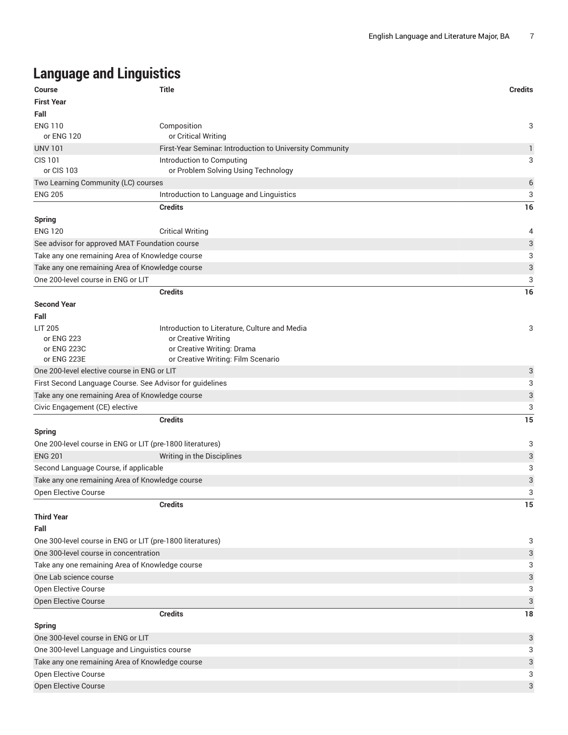# **Language and Linguistics**

| <b>Course</b>                                             | <b>Title</b>                                                     | <b>Credits</b>            |
|-----------------------------------------------------------|------------------------------------------------------------------|---------------------------|
| <b>First Year</b>                                         |                                                                  |                           |
| Fall                                                      |                                                                  |                           |
| <b>ENG 110</b><br>or ENG 120                              | Composition<br>or Critical Writing                               | 3                         |
| <b>UNV 101</b>                                            | First-Year Seminar. Introduction to University Community         | 1                         |
| <b>CIS 101</b><br>or CIS 103                              | Introduction to Computing<br>or Problem Solving Using Technology | 3                         |
| Two Learning Community (LC) courses                       |                                                                  | $\,6$                     |
| <b>ENG 205</b>                                            | Introduction to Language and Linguistics                         | 3                         |
|                                                           | <b>Credits</b>                                                   | 16                        |
| <b>Spring</b>                                             |                                                                  |                           |
| <b>ENG 120</b>                                            | <b>Critical Writing</b>                                          | 4                         |
| See advisor for approved MAT Foundation course            |                                                                  | 3                         |
| Take any one remaining Area of Knowledge course           |                                                                  | 3                         |
| Take any one remaining Area of Knowledge course           |                                                                  | 3                         |
| One 200-level course in ENG or LIT                        |                                                                  | 3                         |
|                                                           | <b>Credits</b>                                                   | 16                        |
| <b>Second Year</b>                                        |                                                                  |                           |
| Fall                                                      |                                                                  |                           |
| <b>LIT 205</b>                                            | Introduction to Literature, Culture and Media                    | 3                         |
| or ENG 223                                                | or Creative Writing                                              |                           |
| or ENG 223C                                               | or Creative Writing: Drama                                       |                           |
| or ENG 223E                                               | or Creative Writing: Film Scenario                               |                           |
| One 200-level elective course in ENG or LIT               |                                                                  | 3                         |
| First Second Language Course. See Advisor for guidelines  |                                                                  | 3                         |
| Take any one remaining Area of Knowledge course           |                                                                  | $\ensuremath{\mathsf{3}}$ |
| Civic Engagement (CE) elective                            |                                                                  | 3                         |
|                                                           | <b>Credits</b>                                                   | 15                        |
| <b>Spring</b>                                             |                                                                  |                           |
| One 200-level course in ENG or LIT (pre-1800 literatures) |                                                                  | 3                         |
| <b>ENG 201</b>                                            | Writing in the Disciplines                                       | 3                         |
| Second Language Course, if applicable                     |                                                                  | 3                         |
| Take any one remaining Area of Knowledge course           |                                                                  | 3                         |
| Open Elective Course                                      |                                                                  | 3                         |
|                                                           | <b>Credits</b>                                                   | 15                        |
| <b>Third Year</b>                                         |                                                                  |                           |
| Fall                                                      |                                                                  |                           |
| One 300-level course in ENG or LIT (pre-1800 literatures) |                                                                  | 3                         |
| One 300-level course in concentration                     |                                                                  | 3                         |
| Take any one remaining Area of Knowledge course           |                                                                  | 3                         |
| One Lab science course                                    |                                                                  | 3                         |
| Open Elective Course                                      |                                                                  | 3                         |
| Open Elective Course                                      |                                                                  | 3                         |
|                                                           | <b>Credits</b>                                                   | 18                        |
| <b>Spring</b>                                             |                                                                  |                           |
| One 300-level course in ENG or LIT                        |                                                                  | 3                         |
| One 300-level Language and Linguistics course             |                                                                  | 3                         |
| Take any one remaining Area of Knowledge course           |                                                                  | 3                         |
| Open Elective Course                                      |                                                                  | 3                         |
| Open Elective Course                                      |                                                                  | 3                         |
|                                                           |                                                                  |                           |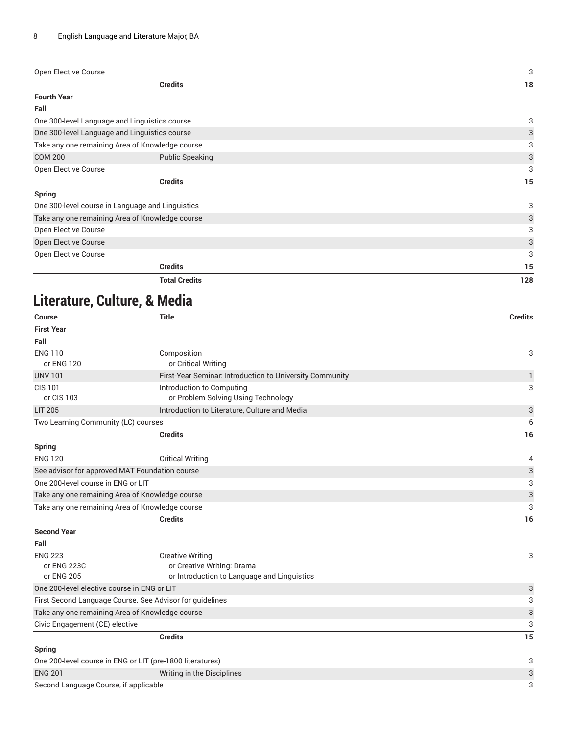| Open Elective Course                            |                                                  | 3   |
|-------------------------------------------------|--------------------------------------------------|-----|
|                                                 | <b>Credits</b>                                   | 18  |
| <b>Fourth Year</b>                              |                                                  |     |
| Fall                                            |                                                  |     |
|                                                 | One 300-level Language and Linguistics course    | 3   |
| One 300-level Language and Linguistics course   |                                                  | 3   |
| Take any one remaining Area of Knowledge course |                                                  | 3   |
| <b>COM 200</b>                                  | <b>Public Speaking</b>                           | 3   |
| Open Elective Course                            |                                                  | 3   |
|                                                 | <b>Credits</b>                                   | 15  |
| <b>Spring</b>                                   |                                                  |     |
|                                                 | One 300-level course in Language and Linguistics | 3   |
| Take any one remaining Area of Knowledge course |                                                  | 3   |
| Open Elective Course                            |                                                  | 3   |
| <b>Open Elective Course</b>                     |                                                  | 3   |
| Open Elective Course                            |                                                  | 3   |
|                                                 | <b>Credits</b>                                   | 15  |
| <b>Total Credits</b>                            |                                                  | 128 |

# **Literature, Culture, & Media**

| <b>Course</b>                                                                        | <b>Title</b>                                              | <b>Credits</b>            |
|--------------------------------------------------------------------------------------|-----------------------------------------------------------|---------------------------|
| <b>First Year</b>                                                                    |                                                           |                           |
| Fall                                                                                 |                                                           |                           |
| <b>ENG 110</b>                                                                       | Composition                                               | 3                         |
| or ENG 120                                                                           | or Critical Writing                                       |                           |
| <b>UNV 101</b>                                                                       | First-Year Seminar. Introduction to University Community  | 1                         |
| <b>CIS 101</b>                                                                       | Introduction to Computing                                 | 3                         |
| or CIS 103                                                                           | or Problem Solving Using Technology                       |                           |
| <b>LIT 205</b>                                                                       | Introduction to Literature, Culture and Media             | 3                         |
| Two Learning Community (LC) courses                                                  |                                                           | 6                         |
|                                                                                      | <b>Credits</b>                                            | 16                        |
| <b>Spring</b>                                                                        |                                                           |                           |
| <b>ENG 120</b>                                                                       | <b>Critical Writing</b>                                   | 4                         |
| See advisor for approved MAT Foundation course<br>One 200-level course in ENG or LIT |                                                           | $\ensuremath{\mathsf{3}}$ |
|                                                                                      |                                                           | 3                         |
| Take any one remaining Area of Knowledge course                                      |                                                           | $\ensuremath{\mathsf{3}}$ |
| Take any one remaining Area of Knowledge course                                      |                                                           | 3                         |
|                                                                                      | <b>Credits</b>                                            | 16                        |
| <b>Second Year</b>                                                                   |                                                           |                           |
| Fall                                                                                 |                                                           |                           |
| <b>ENG 223</b>                                                                       | <b>Creative Writing</b>                                   | 3                         |
| or ENG 223C                                                                          | or Creative Writing: Drama                                |                           |
| or ENG 205                                                                           | or Introduction to Language and Linguistics               |                           |
| One 200-level elective course in ENG or LIT                                          |                                                           | 3                         |
|                                                                                      | First Second Language Course. See Advisor for guidelines  | 3                         |
| Take any one remaining Area of Knowledge course                                      |                                                           | $\ensuremath{\mathsf{3}}$ |
| Civic Engagement (CE) elective                                                       |                                                           | 3                         |
|                                                                                      | <b>Credits</b>                                            | 15                        |
| Spring                                                                               |                                                           |                           |
|                                                                                      | One 200-level course in ENG or LIT (pre-1800 literatures) | 3                         |
| <b>ENG 201</b>                                                                       | Writing in the Disciplines                                | 3                         |
| Second Language Course, if applicable                                                |                                                           | 3                         |